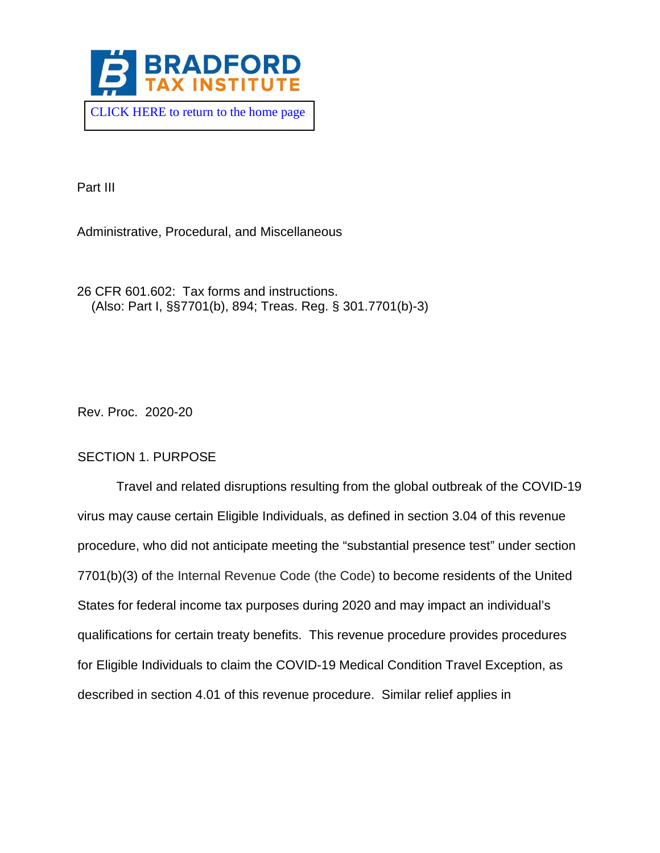

Part III

Administrative, Procedural, and Miscellaneous

26 CFR 601.602: Tax forms and instructions. (Also: Part I, §§7701(b), 894; Treas. Reg. § 301.7701(b)-3)

Rev. Proc. 2020-20

### SECTION 1. PURPOSE

Travel and related disruptions resulting from the global outbreak of the COVID-19 virus may cause certain Eligible Individuals, as defined in section 3.04 of this revenue procedure, who did not anticipate meeting the "substantial presence test" under section 7701(b)(3) of the Internal Revenue Code (the Code) to become residents of the United States for federal income tax purposes during 2020 and may impact an individual's qualifications for certain treaty benefits. This revenue procedure provides procedures for Eligible Individuals to claim the COVID-19 Medical Condition Travel Exception, as described in section 4.01 of this revenue procedure. Similar relief applies in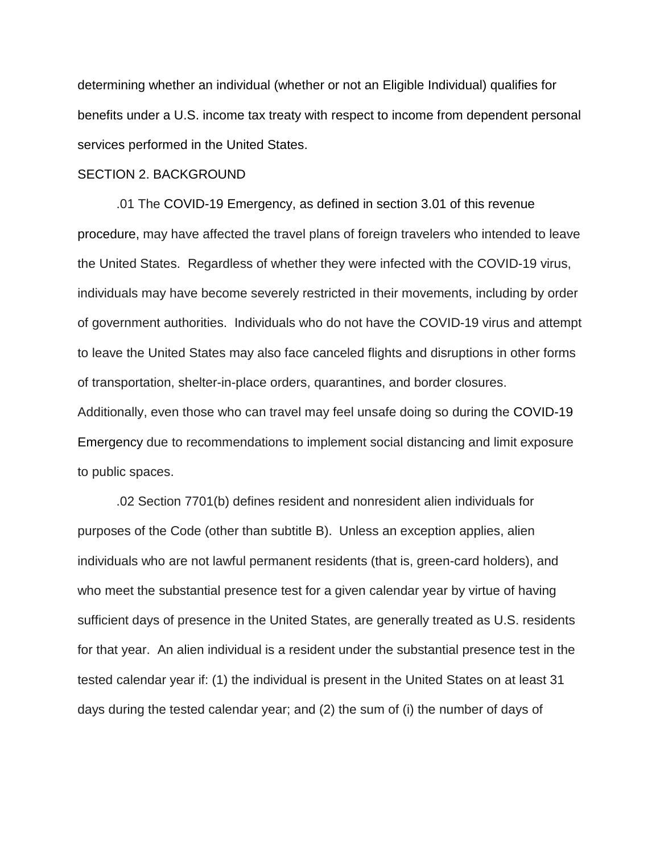determining whether an individual (whether or not an Eligible Individual) qualifies for benefits under a U.S. income tax treaty with respect to income from dependent personal services performed in the United States.

#### SECTION 2. BACKGROUND

.01 The COVID-19 Emergency, as defined in section 3.01 of this revenue procedure, may have affected the travel plans of foreign travelers who intended to leave the United States. Regardless of whether they were infected with the COVID-19 virus, individuals may have become severely restricted in their movements, including by order of government authorities. Individuals who do not have the COVID-19 virus and attempt to leave the United States may also face canceled flights and disruptions in other forms of transportation, shelter-in-place orders, quarantines, and border closures. Additionally, even those who can travel may feel unsafe doing so during the COVID-19 Emergency due to recommendations to implement social distancing and limit exposure to public spaces.

.02 Section 7701(b) defines resident and nonresident alien individuals for purposes of the Code (other than subtitle B). Unless an exception applies, alien individuals who are not lawful permanent residents (that is, green-card holders), and who meet the substantial presence test for a given calendar year by virtue of having sufficient days of presence in the United States, are generally treated as U.S. residents for that year. An alien individual is a resident under the substantial presence test in the tested calendar year if: (1) the individual is present in the United States on at least 31 days during the tested calendar year; and (2) the sum of (i) the number of days of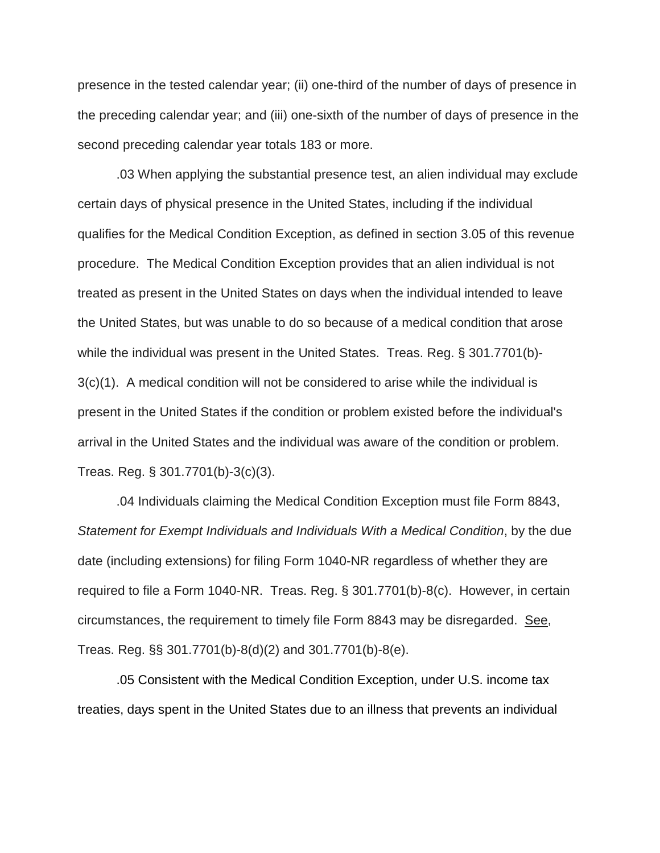presence in the tested calendar year; (ii) one-third of the number of days of presence in the preceding calendar year; and (iii) one-sixth of the number of days of presence in the second preceding calendar year totals 183 or more.

.03 When applying the substantial presence test, an alien individual may exclude certain days of physical presence in the United States, including if the individual qualifies for the Medical Condition Exception, as defined in section 3.05 of this revenue procedure. The Medical Condition Exception provides that an alien individual is not treated as present in the United States on days when the individual intended to leave the United States, but was unable to do so because of a medical condition that arose while the individual was present in the United States. Treas. Reg. § 301.7701(b)- 3(c)(1). A medical condition will not be considered to arise while the individual is present in the United States if the condition or problem existed before the individual's arrival in the United States and the individual was aware of the condition or problem. Treas. Reg. § 301.7701(b)-3(c)(3).

.04 Individuals claiming the Medical Condition Exception must file Form 8843, *Statement for Exempt Individuals and Individuals With a Medical Condition*, by the due date (including extensions) for filing Form 1040-NR regardless of whether they are required to file a Form 1040-NR. Treas. Reg. § 301.7701(b)-8(c). However, in certain circumstances, the requirement to timely file Form 8843 may be disregarded. See, Treas. Reg. §§ 301.7701(b)-8(d)(2) and 301.7701(b)-8(e).

.05 Consistent with the Medical Condition Exception, under U.S. income tax treaties, days spent in the United States due to an illness that prevents an individual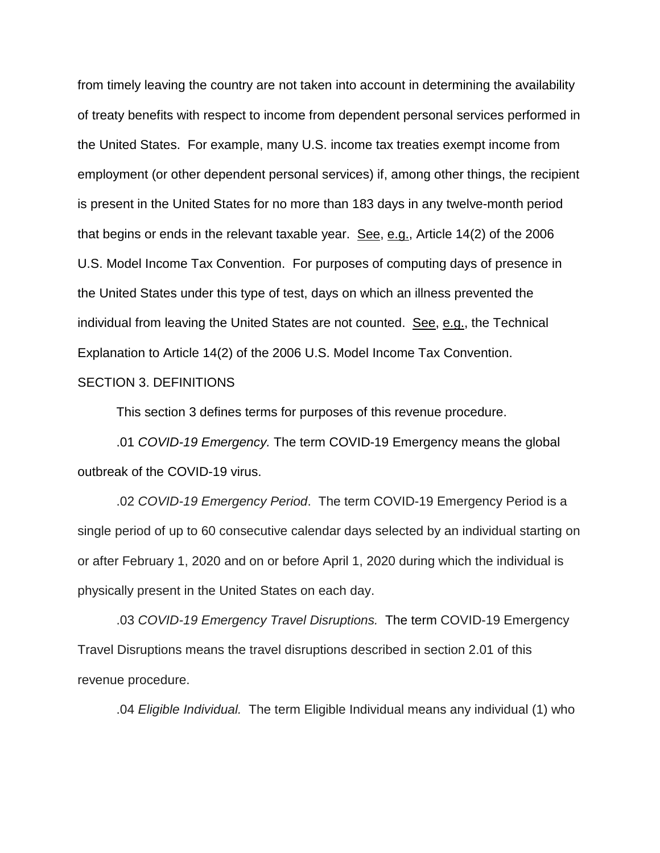from timely leaving the country are not taken into account in determining the availability of treaty benefits with respect to income from dependent personal services performed in the United States. For example, many U.S. income tax treaties exempt income from employment (or other dependent personal services) if, among other things, the recipient is present in the United States for no more than 183 days in any twelve-month period that begins or ends in the relevant taxable year. See, e.g., Article  $14(2)$  of the 2006 U.S. Model Income Tax Convention. For purposes of computing days of presence in the United States under this type of test, days on which an illness prevented the individual from leaving the United States are not counted. See, e.g., the Technical Explanation to Article 14(2) of the 2006 U.S. Model Income Tax Convention.

### SECTION 3. DEFINITIONS

This section 3 defines terms for purposes of this revenue procedure.

.01 *COVID-19 Emergency.* The term COVID-19 Emergency means the global outbreak of the COVID-19 virus.

.02 *COVID-19 Emergency Period*. The term COVID-19 Emergency Period is a single period of up to 60 consecutive calendar days selected by an individual starting on or after February 1, 2020 and on or before April 1, 2020 during which the individual is physically present in the United States on each day.

.03 *COVID-19 Emergency Travel Disruptions.* The term COVID-19 Emergency Travel Disruptions means the travel disruptions described in section 2.01 of this revenue procedure.

.04 *Eligible Individual.* The term Eligible Individual means any individual (1) who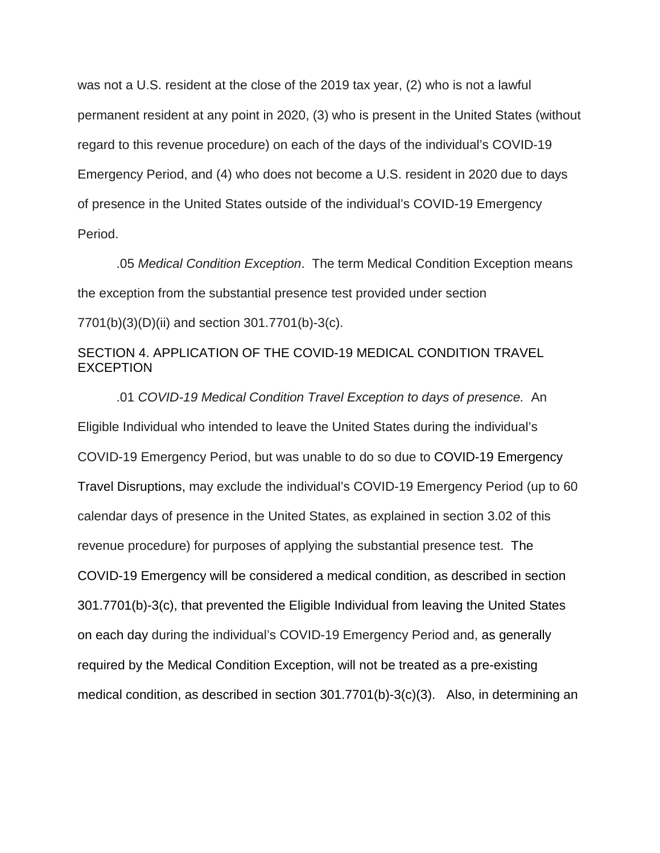was not a U.S. resident at the close of the 2019 tax year, (2) who is not a lawful permanent resident at any point in 2020, (3) who is present in the United States (without regard to this revenue procedure) on each of the days of the individual's COVID-19 Emergency Period, and (4) who does not become a U.S. resident in 2020 due to days of presence in the United States outside of the individual's COVID-19 Emergency Period.

.05 *Medical Condition Exception*. The term Medical Condition Exception means the exception from the substantial presence test provided under section 7701(b)(3)(D)(ii) and section 301.7701(b)-3(c).

# SECTION 4. APPLICATION OF THE COVID-19 MEDICAL CONDITION TRAVEL EXCEPTION

.01 *COVID-19 Medical Condition Travel Exception to days of presence.* An Eligible Individual who intended to leave the United States during the individual's COVID-19 Emergency Period, but was unable to do so due to COVID-19 Emergency Travel Disruptions, may exclude the individual's COVID-19 Emergency Period (up to 60 calendar days of presence in the United States, as explained in section 3.02 of this revenue procedure) for purposes of applying the substantial presence test. The COVID-19 Emergency will be considered a medical condition, as described in section 301.7701(b)-3(c), that prevented the Eligible Individual from leaving the United States on each day during the individual's COVID-19 Emergency Period and, as generally required by the Medical Condition Exception, will not be treated as a pre-existing medical condition, as described in section 301.7701(b)-3(c)(3). Also, in determining an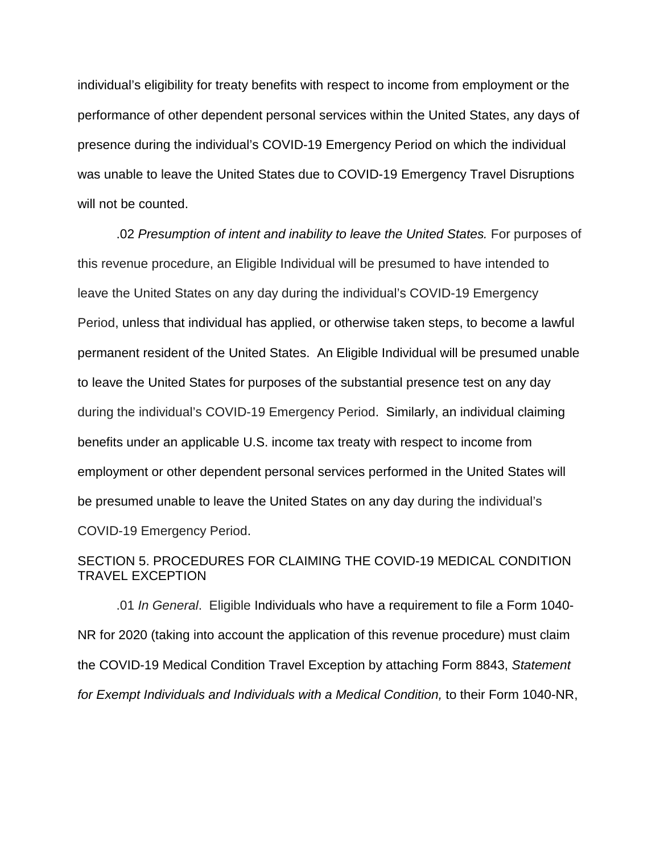individual's eligibility for treaty benefits with respect to income from employment or the performance of other dependent personal services within the United States, any days of presence during the individual's COVID-19 Emergency Period on which the individual was unable to leave the United States due to COVID-19 Emergency Travel Disruptions will not be counted.

.02 *Presumption of intent and inability to leave the United States.* For purposes of this revenue procedure, an Eligible Individual will be presumed to have intended to leave the United States on any day during the individual's COVID-19 Emergency Period, unless that individual has applied, or otherwise taken steps, to become a lawful permanent resident of the United States. An Eligible Individual will be presumed unable to leave the United States for purposes of the substantial presence test on any day during the individual's COVID-19 Emergency Period. Similarly, an individual claiming benefits under an applicable U.S. income tax treaty with respect to income from employment or other dependent personal services performed in the United States will be presumed unable to leave the United States on any day during the individual's COVID-19 Emergency Period.

# SECTION 5. PROCEDURES FOR CLAIMING THE COVID-19 MEDICAL CONDITION TRAVEL EXCEPTION

.01 *In General*. Eligible Individuals who have a requirement to file a Form 1040- NR for 2020 (taking into account the application of this revenue procedure) must claim the COVID-19 Medical Condition Travel Exception by attaching Form 8843, *Statement for Exempt Individuals and Individuals with a Medical Condition,* to their Form 1040-NR,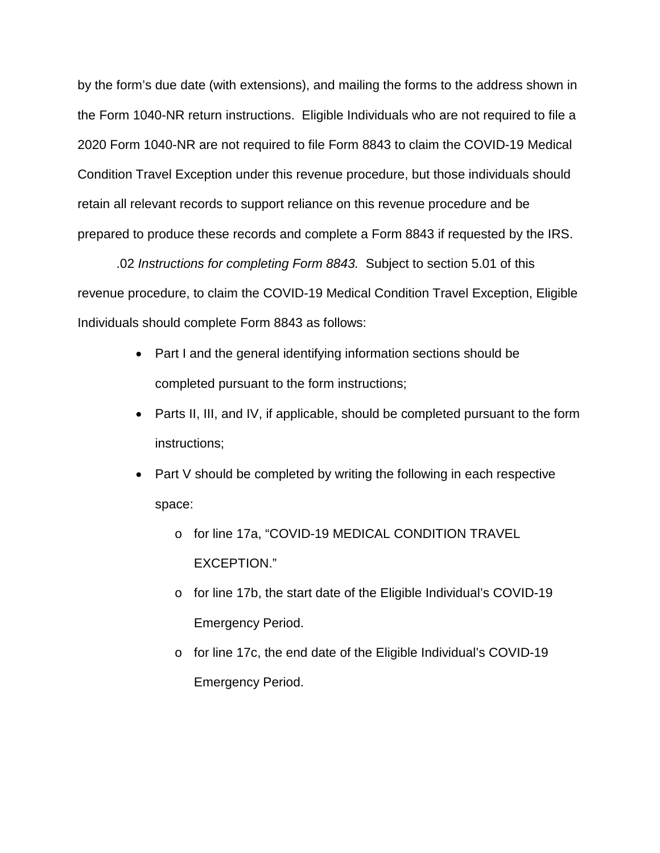by the form's due date (with extensions), and mailing the forms to the address shown in the Form 1040-NR return instructions. Eligible Individuals who are not required to file a 2020 Form 1040-NR are not required to file Form 8843 to claim the COVID-19 Medical Condition Travel Exception under this revenue procedure, but those individuals should retain all relevant records to support reliance on this revenue procedure and be prepared to produce these records and complete a Form 8843 if requested by the IRS.

.02 *Instructions for completing Form 8843.* Subject to section 5.01 of this revenue procedure, to claim the COVID-19 Medical Condition Travel Exception, Eligible Individuals should complete Form 8843 as follows:

- Part I and the general identifying information sections should be completed pursuant to the form instructions;
- Parts II, III, and IV, if applicable, should be completed pursuant to the form instructions;
- Part V should be completed by writing the following in each respective space:
	- o for line 17a, "COVID-19 MEDICAL CONDITION TRAVEL EXCEPTION."
	- o for line 17b, the start date of the Eligible Individual's COVID-19 Emergency Period.
	- o for line 17c, the end date of the Eligible Individual's COVID-19 Emergency Period.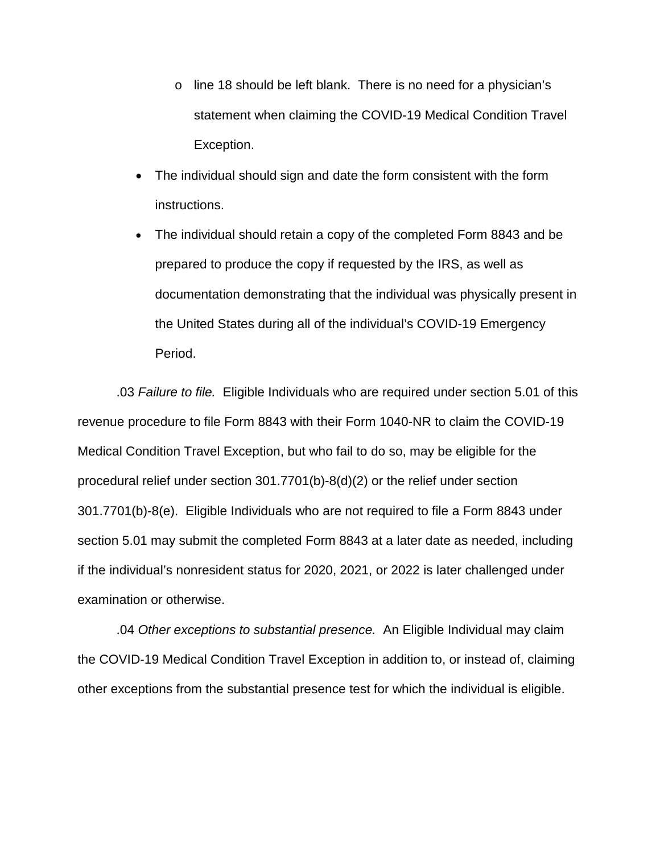- o line 18 should be left blank. There is no need for a physician's statement when claiming the COVID-19 Medical Condition Travel Exception.
- The individual should sign and date the form consistent with the form instructions.
- The individual should retain a copy of the completed Form 8843 and be prepared to produce the copy if requested by the IRS, as well as documentation demonstrating that the individual was physically present in the United States during all of the individual's COVID-19 Emergency Period.

.03 *Failure to file.* Eligible Individuals who are required under section 5.01 of this revenue procedure to file Form 8843 with their Form 1040-NR to claim the COVID-19 Medical Condition Travel Exception, but who fail to do so, may be eligible for the procedural relief under section 301.7701(b)-8(d)(2) or the relief under section 301.7701(b)-8(e). Eligible Individuals who are not required to file a Form 8843 under section 5.01 may submit the completed Form 8843 at a later date as needed, including if the individual's nonresident status for 2020, 2021, or 2022 is later challenged under examination or otherwise.

.04 *Other exceptions to substantial presence.* An Eligible Individual may claim the COVID-19 Medical Condition Travel Exception in addition to, or instead of, claiming other exceptions from the substantial presence test for which the individual is eligible.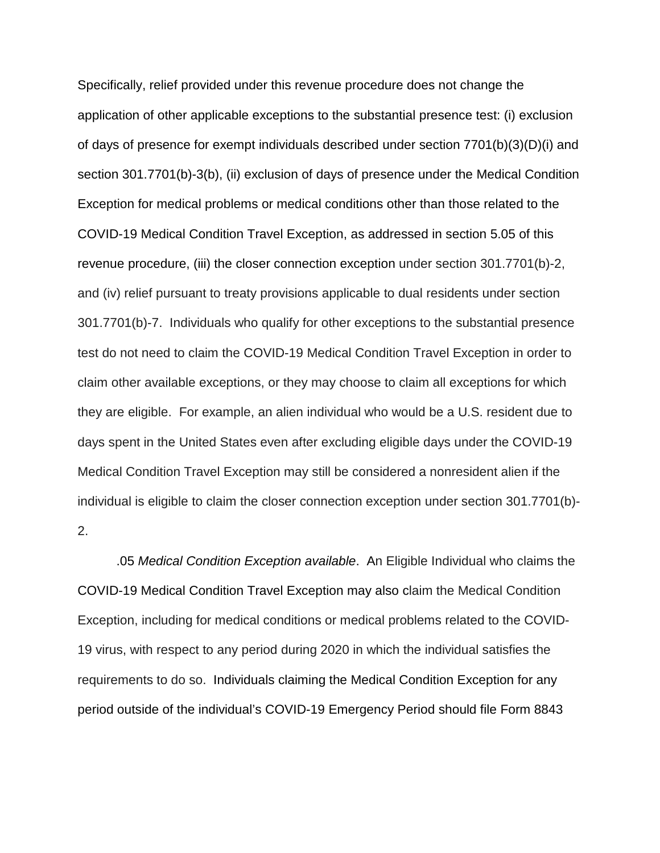Specifically, relief provided under this revenue procedure does not change the application of other applicable exceptions to the substantial presence test: (i) exclusion of days of presence for exempt individuals described under section 7701(b)(3)(D)(i) and section 301.7701(b)-3(b), (ii) exclusion of days of presence under the Medical Condition Exception for medical problems or medical conditions other than those related to the COVID-19 Medical Condition Travel Exception, as addressed in section 5.05 of this revenue procedure, (iii) the closer connection exception under section 301.7701(b)-2, and (iv) relief pursuant to treaty provisions applicable to dual residents under section 301.7701(b)-7. Individuals who qualify for other exceptions to the substantial presence test do not need to claim the COVID-19 Medical Condition Travel Exception in order to claim other available exceptions, or they may choose to claim all exceptions for which they are eligible. For example, an alien individual who would be a U.S. resident due to days spent in the United States even after excluding eligible days under the COVID-19 Medical Condition Travel Exception may still be considered a nonresident alien if the individual is eligible to claim the closer connection exception under section 301.7701(b)- 2.

.05 *Medical Condition Exception available*. An Eligible Individual who claims the COVID-19 Medical Condition Travel Exception may also claim the Medical Condition Exception, including for medical conditions or medical problems related to the COVID-19 virus, with respect to any period during 2020 in which the individual satisfies the requirements to do so. Individuals claiming the Medical Condition Exception for any period outside of the individual's COVID-19 Emergency Period should file Form 8843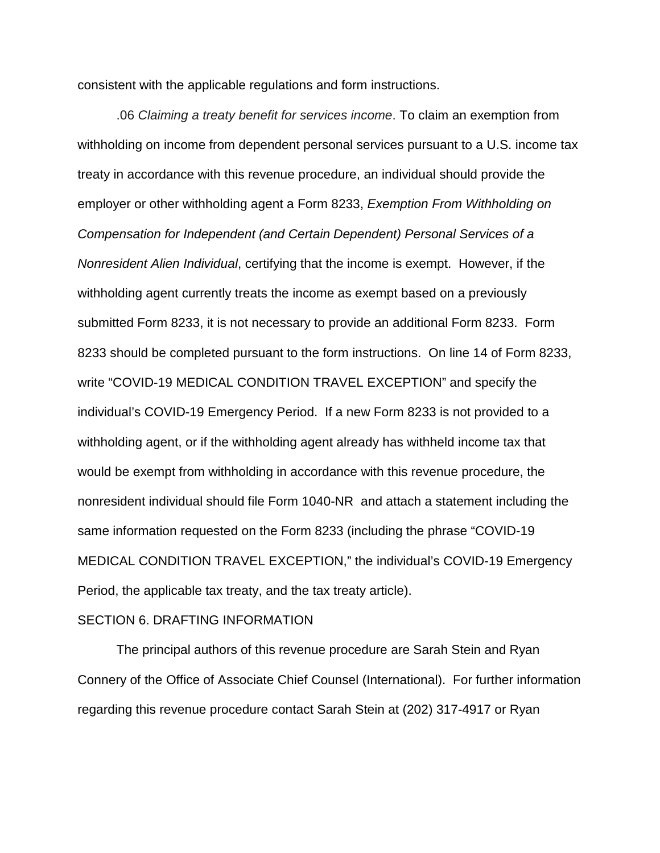consistent with the applicable regulations and form instructions.

.06 *Claiming a treaty benefit for services income*. To claim an exemption from withholding on income from dependent personal services pursuant to a U.S. income tax treaty in accordance with this revenue procedure, an individual should provide the employer or other withholding agent a Form 8233, *Exemption From Withholding on Compensation for Independent (and Certain Dependent) Personal Services of a Nonresident Alien Individual*, certifying that the income is exempt. However, if the withholding agent currently treats the income as exempt based on a previously submitted Form 8233, it is not necessary to provide an additional Form 8233. Form 8233 should be completed pursuant to the form instructions. On line 14 of Form 8233, write "COVID-19 MEDICAL CONDITION TRAVEL EXCEPTION" and specify the individual's COVID-19 Emergency Period. If a new Form 8233 is not provided to a withholding agent, or if the withholding agent already has withheld income tax that would be exempt from withholding in accordance with this revenue procedure, the nonresident individual should file Form 1040-NR and attach a statement including the same information requested on the Form 8233 (including the phrase "COVID-19 MEDICAL CONDITION TRAVEL EXCEPTION," the individual's COVID-19 Emergency Period, the applicable tax treaty, and the tax treaty article).

#### SECTION 6. DRAFTING INFORMATION

The principal authors of this revenue procedure are Sarah Stein and Ryan Connery of the Office of Associate Chief Counsel (International). For further information regarding this revenue procedure contact Sarah Stein at (202) 317-4917 or Ryan